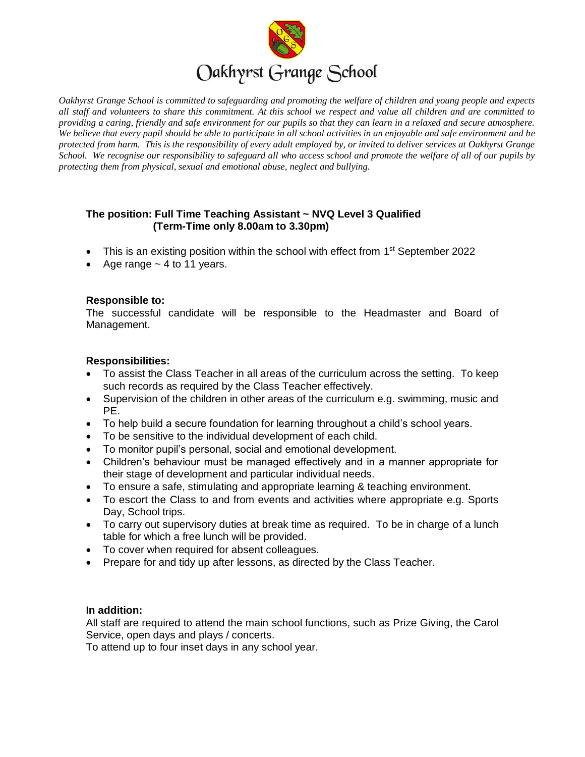

*Oakhyrst Grange School is committed to safeguarding and promoting the welfare of children and young people and expects all staff and volunteers to share this commitment. At this school we respect and value all children and are committed to providing a caring, friendly and safe environment for our pupils so that they can learn in a relaxed and secure atmosphere. We believe that every pupil should be able to participate in all school activities in an enjoyable and safe environment and be protected from harm. This is the responsibility of every adult employed by, or invited to deliver services at Oakhyrst Grange School. We recognise our responsibility to safeguard all who access school and promote the welfare of all of our pupils by protecting them from physical, sexual and emotional abuse, neglect and bullying.*

## **The position: Full Time Teaching Assistant ~ NVQ Level 3 Qualified (Term-Time only 8.00am to 3.30pm)**

- This is an existing position within the school with effect from 1<sup>st</sup> September 2022
- Age range  $\sim$  4 to 11 years.

## **Responsible to:**

The successful candidate will be responsible to the Headmaster and Board of Management.

## **Responsibilities:**

- To assist the Class Teacher in all areas of the curriculum across the setting. To keep such records as required by the Class Teacher effectively.
- Supervision of the children in other areas of the curriculum e.g. swimming, music and PE.
- To help build a secure foundation for learning throughout a child's school years.
- To be sensitive to the individual development of each child.
- To monitor pupil's personal, social and emotional development.
- Children's behaviour must be managed effectively and in a manner appropriate for their stage of development and particular individual needs.
- To ensure a safe, stimulating and appropriate learning & teaching environment.
- To escort the Class to and from events and activities where appropriate e.g. Sports Day, School trips.
- To carry out supervisory duties at break time as required. To be in charge of a lunch table for which a free lunch will be provided.
- To cover when required for absent colleagues.
- Prepare for and tidy up after lessons, as directed by the Class Teacher.

#### **In addition:**

All staff are required to attend the main school functions, such as Prize Giving, the Carol Service, open days and plays / concerts.

To attend up to four inset days in any school year.